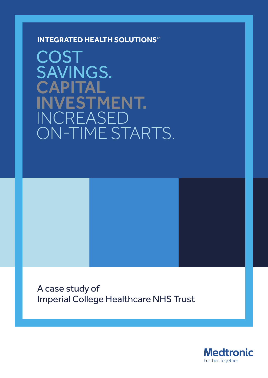**INTEGRATED HEALTH SOLUTIONS** 

**COST** SAVINGS. **CAPITAL** INVESTMENT. INCREASED ON-TIME STARTS.

A case study of Imperial College Healthcare NHS Trust

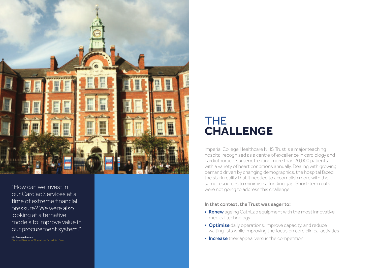# THE **CHALLENGE**

Imperial College Healthcare NHS Trust is a major teaching hospital recognised as a centre of excellence in cardiology and cardiothoracic surgery, treating more than 20,000 patients with a variety of heart conditions annually. Dealing with growing demand driven by changing demographics, the hospital faced the stark reality that it needed to accomplish more with the same resources to minimise a funding gap. Short-term cuts were not going to address this challenge.

**Mr. Graham Lomax** ional Director of Operations, Scheduled Care

## In that context, the Trust was eager to:

- **Renew** ageing CathLab equipment with the most innovative medical technology
- **Optimise** daily operations, improve capacity, and reduce waiting lists while improving the focus on core clinical activities
- **Increase** their appeal versus the competition



"How can we invest in our Cardiac Services at a time of extreme financial pressure? We were also looking at alternative models to improve value in our procurement system."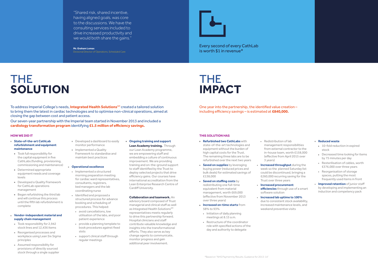"Shared risk, shared incentive, having aligned goals, was core to the discussions. We have the consulting services included to drive increased productivity and we would both share the gains."

**Mr. Graham Lomax** Divisional Director of Operations, Scheduled Care

# THE **SOLUTION**

# THE **IMPACT**

- Took responsibility for 2,942 stock lines and 12,436 items
- Reorganised processes and workplace using Lean Six Sigma principles
- Assumed responsibility for provisions of directly sourced stock through a single supplier
- **State-of-the-art CathLab refurbishment and equipment maintenance**
- Took full responsibility for the capital equipment in five CathLabs (funding, provisioning, commissioning and maintenance)
- Determined appropriate equipment needs and coverage levels
- **Developed a Quality Framework** for CathLab operations management
- **Began refurbishing the third lab** and will continue this process until the fifth lab refurbishment is complete
- Developed a dashboard to easily monitor performance
- **Implemented a Quality** Framework to standardise and maintain best practices

## **Vendor-independent material and supply chain management**

- **Implemented a structured** morning preparation meeting for cardiac ward representatives, consultants, registrars, bed managers and the lab coordinating nurse
- Identified and proposed a structured process for advance booking and scheduling of procedures. This helped:
- avoid cancellations, low utilisation of the labs, and poor patient experience
- provide a planning template to book procedures against fixed slots
- support clinical staff through regular meetings

### **Operational excellence**

- **Refurbished two CathLabs** with state-of-the-art technologies and equipment without the burden of high capital costs for the Trust. The remaining three labs are to be refurbished over the next two years
- **Saved on supplies** by leveraging buying power (reduced prices and bulk deals) for estimated savings of £138,000
- **s** Saved on staffing costs by redistributing one full-time equivalent from material management, worth £69,000 (effective from November 2013 over three years)
- **Increased on-time starts** from 58% to 93%
- $\blacksquare$  Initiation of daily planning meetings at 8.15 a.m.
- Restructure of the coordinator role with specified actions of the day and authority to delegate

 **Ongoing training and support Lean Academy training.** Through

our Lean Academy programme, we are empowering staff and embedding a culture of continuous improvement. We are providing training and on-the-ground support to staff identified by the Trust to deploy selected projects that drive efficiency gains. Our courses have international accreditation from the Lean Enterprise Research Centre of Cardiff University.

- 10-fold reduction in expired stock
- Decreased time looking for items by 75 minutes per day
- Resterilisation of cables, worth £376,000 over three years
- Reorganisation of storage spaces, putting the most frequently used items in front
- **Improved retention** of junior staff by developing and implementing an induction and competency pack

## **Collaboration and teamwork.** An

To address Imperial College's needs, **Integrated Health Solutions**<sup>SM</sup> created a tailored solution to bring them the latest in cardiac technologies and to optimise non-clinical operations, aimed at closing the gap between cost and patient access.

> advisory board composed of Trust managerial and clinical staff as well as Integrated Health Solutions<sup>SM</sup> representatives meets regularly to drive this partnership forward. Hospital clinicians and staff contribute valuable knowledge and insights into the transformational efforts. They also serve as key change agents to communicate, monitor progress and gain additional peer involvement.

- Redistribution of lab management responsibilities from external contractor to the in-house team, worth £158,000 (effective from April 2015 over 3 years)
- **Increased throughput** during the week so the planned Saturday list could be discontinued, bringing a £260,000 recurring saving for the Trust over three years
- **Increased procurement efficiencies** through use of a smart software solution
- **Increased lab uptime to 100%**  due to consistent stock availability, increased maintenance levels, and weekend preventive visits

### **Reduced waste**

## **HOW WE DID IT THIS SOLUTION HAS**

One year into the partnership, the identified value creation – including efficiency savings – is estimated at **£840,000.**

Our seven-year partnership with the Imperial team started in November 2013 and included a **cardiology transformation program** identifying **£1.5 million of efficiency savings.**

Every second of every CathLab is worth \$1 in revenue\*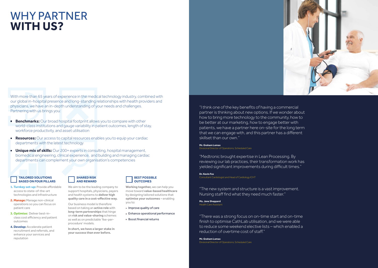# WHY PARTNER **WITH US?**

With more than 65 years of experience in the medical technology industry, combined with our global in-hospital presence and long-standing relationships with health providers and physicians, we have an in-depth understanding of your needs and challenges. Partnering with us brings you:

- **Benchmarks:** Our broad hospital footprint allows you to compare with other world-class institutions and gauge variability in patient outcomes, length of stay, workforce productivity, and asset utilisation
- **Resources:** Our access to capital resources enables you to equip your cardiac departments with the latest technology
- **Unique mix of skills:** Our 200+ experts in consulting, hospital management, biomedical engineering, clinical experience, and building and managing cardiac departments can complement your own organisation's competencies

**Ms. Jane Sheppard** Health Care Assistant

"I think one of the key benefits of having a commercial partner is thinking about new options. If we wonder about how to bring more technology to the community, how to be better at our marketing, how to engage better with patients, we have a partner here on-site for the long term that we can engage with, and this partner has a different

skillset than our own."

### **Mr. Graham Lomax**

Divisional Director of Operations, Scheduled Care

"Medtronic brought expertise in Lean Processing. By reviewing our lab practices, their transformation work has yielded significant improvements during difficult times."

**Dr. Kevin Fox**  Consultant Cardiologist and Head of Cardiology ICHT

- **Improve quality of care**
- Enhance operational performance
- Boost financial returns

"The new system and structure is a vast improvement. Nursing staff find what they need much faster."

"There was a strong focus on on-time start and on-time finish to optimise CathLab utilisation, and we were able to reduce some weekend elective lists – which enabled a reduction of overtime cost of staff."

**Mr. Graham Lomax** Divisional Director of Operations, Scheduled Care



### **TAILORED SOLUTIONS BASED ON FOUR PILLARS**

- **1. Turnkey set-up:** Provide affordable access to state-of-the-art technologies and infrastructure
- **2. Manage:** Manage non-clinical operations so you can focus on patient care
- **3. Optimise:** Deliver best-inclass cost efficiency and patient outcomes
- **4. Develop:** Accelerate patient recruitment and referrals, and enhance your services and reputation

## **SHARED RISK AND REWARD**

We aim to be the leading company to support hospitals, physicians, payers and health systems to **deliver high quality care in a cost-effective way.**

Our business model is therefore based on taking an **active role** with **long-term partnerships** that hinge on **risk and value-sharing** schemes as well as on predictable 'fee-perprocedure' models.

**In short, we have a larger stake in your success than ever before.**

## **BEST POSSIBLE OUTCOMES**

**Working together,** we can help you move toward **value-based healthcare** by designing tailored solutions that **optimise your outcomes** – enabling you to: